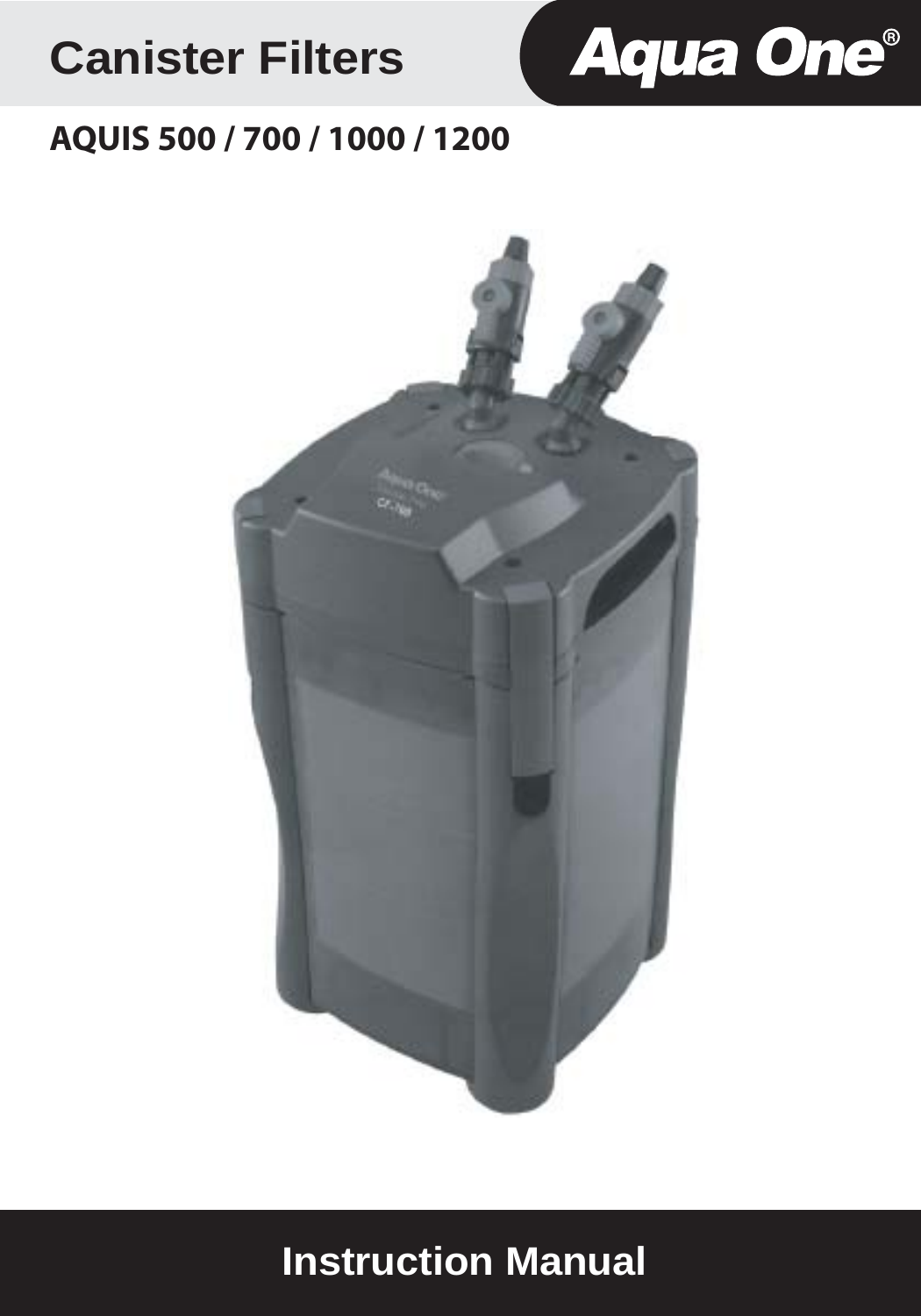# **Canister Filters**



# **AQUIS 500 / 700 / 1000 / 1200**



# **Instruction Manual**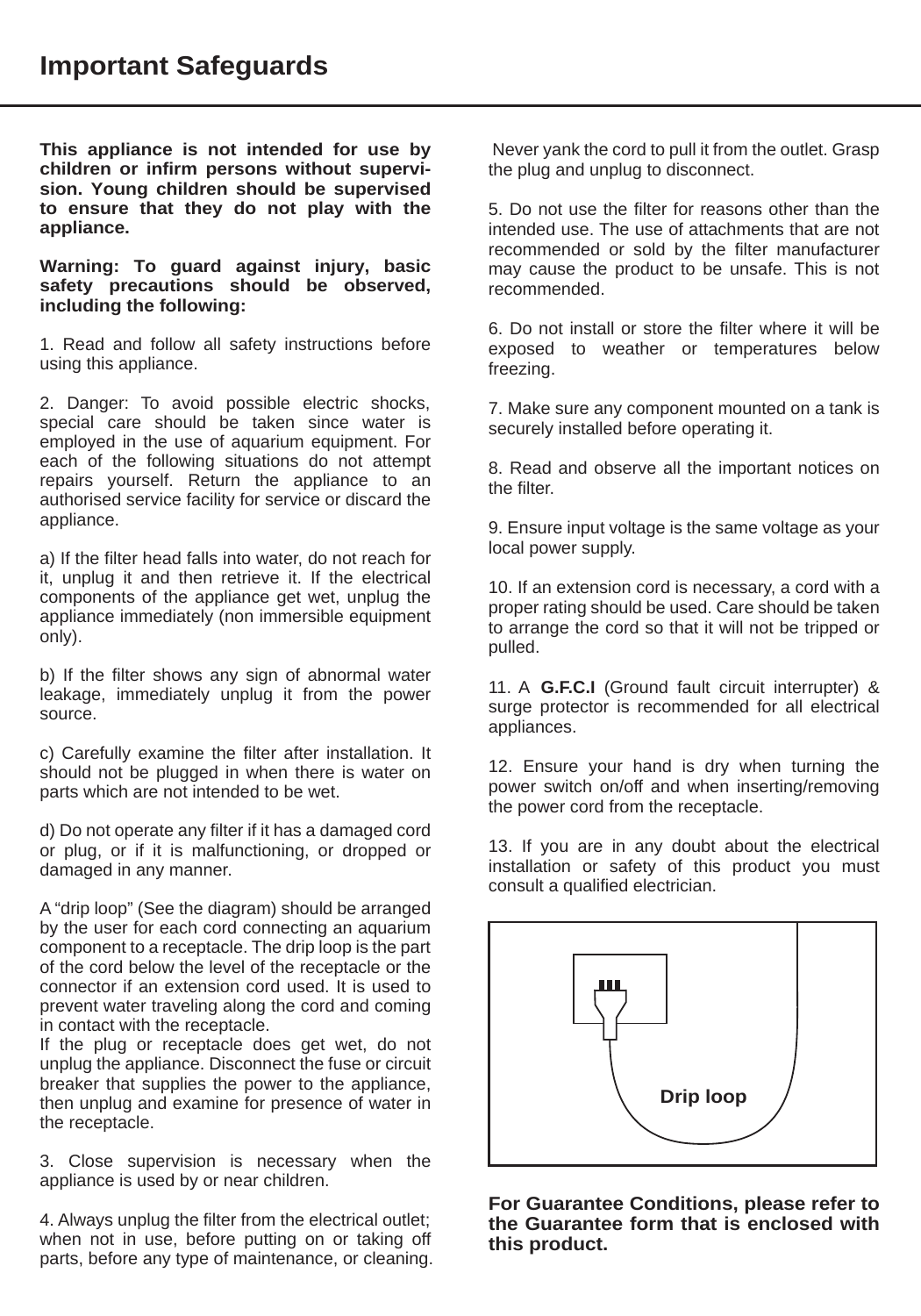**This appliance is not intended for use by children or infirm persons without supervision. Young children should be supervised to ensure that they do not play with the appliance.**

**Warning: To guard against injury, basic safety precautions should be observed, including the following:** 

1. Read and follow all safety instructions before using this appliance.

2. Danger: To avoid possible electric shocks, special care should be taken since water is employed in the use of aquarium equipment. For each of the following situations do not attempt repairs yourself. Return the appliance to an authorised service facility for service or discard the appliance.

a) If the filter head falls into water, do not reach for it, unplug it and then retrieve it. If the electrical components of the appliance get wet, unplug the appliance immediately (non immersible equipment only).

b) If the filter shows any sign of abnormal water leakage, immediately unplug it from the power source.

c) Carefully examine the filter after installation. It should not be plugged in when there is water on parts which are not intended to be wet.

d) Do not operate any filter if it has a damaged cord or plug, or if it is malfunctioning, or dropped or damaged in any manner.

A "drip loop" (See the diagram) should be arranged by the user for each cord connecting an aquarium component to a receptacle. The drip loop is the part of the cord below the level of the receptacle or the connector if an extension cord used. It is used to prevent water traveling along the cord and coming in contact with the receptacle.

If the plug or receptacle does get wet, do not unplug the appliance. Disconnect the fuse or circuit breaker that supplies the power to the appliance, then unplug and examine for presence of water in the receptacle.

3. Close supervision is necessary when the appliance is used by or near children.

4. Always unplug the filter from the electrical outlet; when not in use, before putting on or taking off parts, before any type of maintenance, or cleaning.

 Never yank the cord to pull it from the outlet. Grasp the plug and unplug to disconnect.

5. Do not use the filter for reasons other than the intended use. The use of attachments that are not recommended or sold by the filter manufacturer may cause the product to be unsafe. This is not recommended.

6. Do not install or store the filter where it will be exposed to weather or temperatures below freezing.

7. Make sure any component mounted on a tank is securely installed before operating it.

8. Read and observe all the important notices on the filter.

9. Ensure input voltage is the same voltage as your local power supply.

10. If an extension cord is necessary, a cord with a proper rating should be used. Care should be taken to arrange the cord so that it will not be tripped or pulled.

11. A **G.F.C.I** (Ground fault circuit interrupter) & surge protector is recommended for all electrical appliances.

12. Ensure your hand is dry when turning the power switch on/off and when inserting/removing the power cord from the receptacle.

13. If you are in any doubt about the electrical installation or safety of this product you must consult a qualified electrician.



**For Guarantee Conditions, please refer to the Guarantee form that is enclosed with this product.**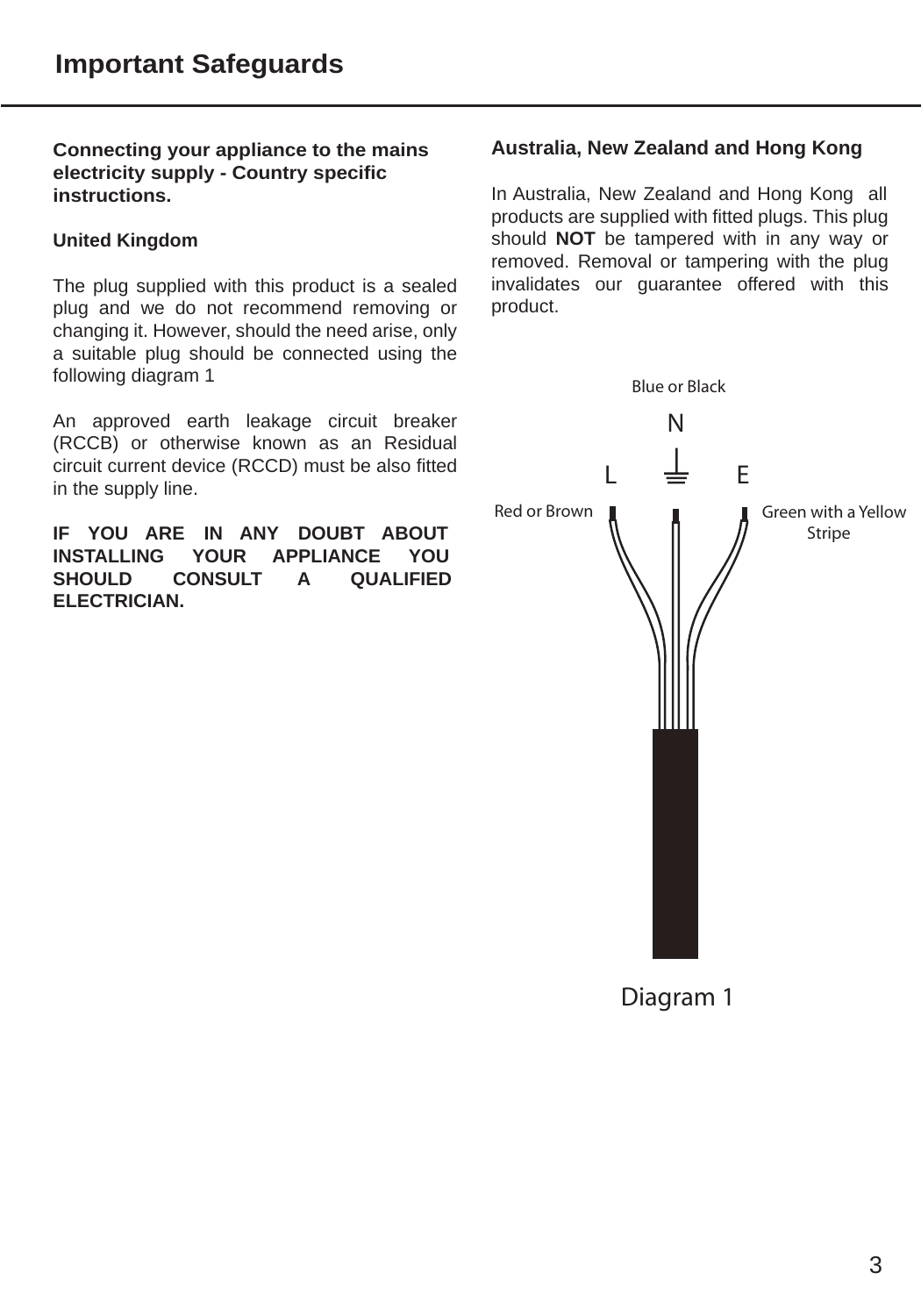**Connecting your appliance to the mains electricity supply - Country specific instructions.**

#### **United Kingdom**

The plug supplied with this product is a sealed plug and we do not recommend removing or changing it. However, should the need arise, only a suitable plug should be connected using the following diagram 1

An approved earth leakage circuit breaker (RCCB) or otherwise known as an Residual circuit current device (RCCD) must be also fitted in the supply line.

**IF YOU ARE IN ANY DOUBT ABOUT INSTALLING YOUR APPLIANCE YOU SHOULD CONSULT A QUALIFIED ELECTRICIAN.**

#### **Australia, New Zealand and Hong Kong**

In Australia, New Zealand and Hong Kong all products are supplied with fitted plugs. This plug should **NOT** be tampered with in any way or removed. Removal or tampering with the plug invalidates our guarantee offered with this product.



Diagram 1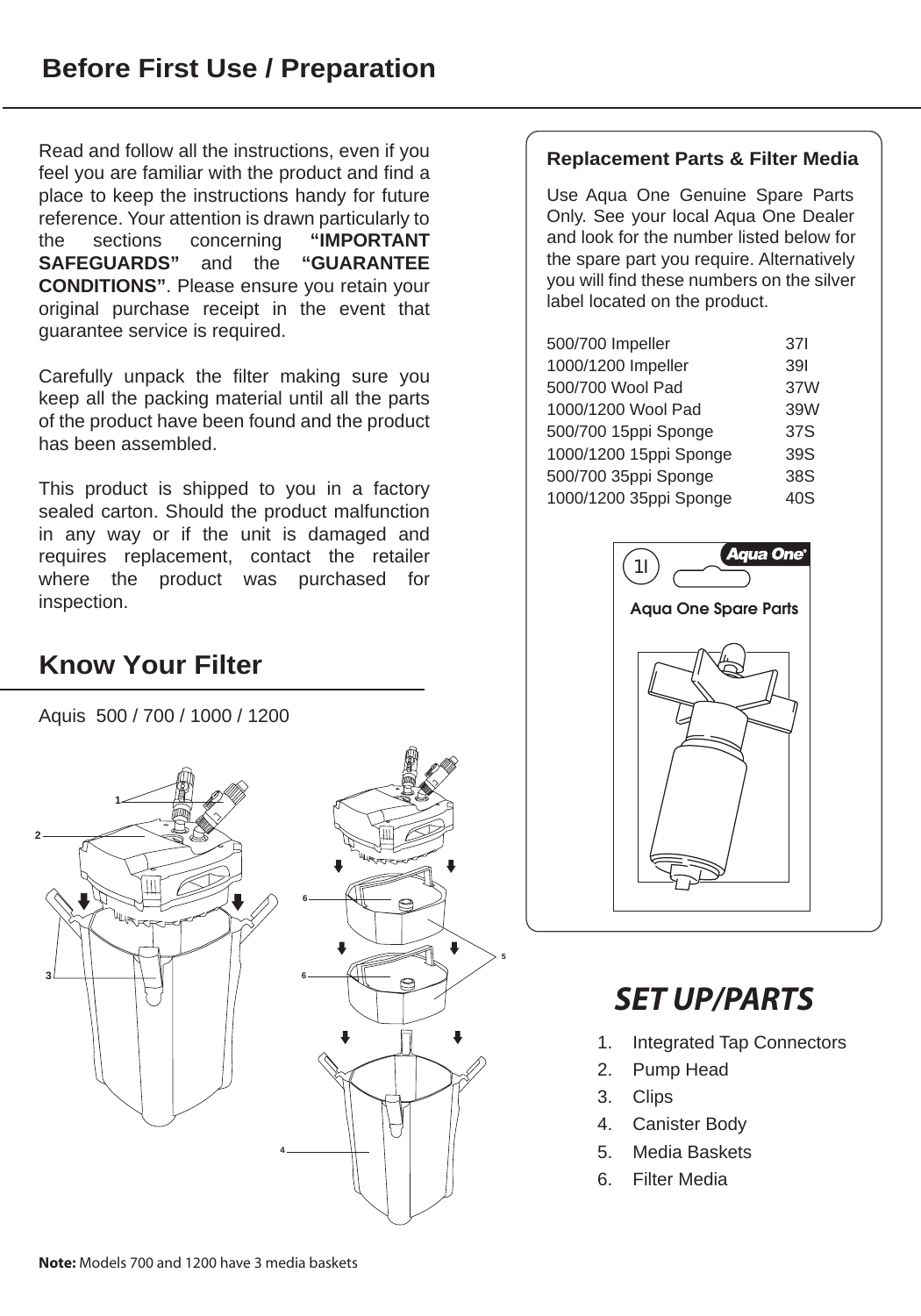Read and follow all the instructions, even if you feel you are familiar with the product and find a place to keep the instructions handy for future reference. Your attention is drawn particularly to the sections concerning **"IMPORTANT SAFEGUARDS"** and the **"GUARANTEE CONDITIONS"**. Please ensure you retain your original purchase receipt in the event that guarantee service is required.

Carefully unpack the filter making sure you keep all the packing material until all the parts of the product have been found and the product has been assembled.

This product is shipped to you in a factory sealed carton. Should the product malfunction in any way or if the unit is damaged and requires replacement, contact the retailer where the product was purchased for inspection.

# **Know Your Filter**

Aquis 500 / 700 / 1000 / 1200



#### **Replacement Parts & Filter Media**

Use Aqua One Genuine Spare Parts Only. See your local Aqua One Dealer and look for the number listed below for the spare part you require. Alternatively you will find these numbers on the silver label located on the product.

| 500/700 Impeller       | 371 |
|------------------------|-----|
| 1000/1200 Impeller     | 391 |
| 500/700 Wool Pad       | 37W |
| 1000/1200 Wool Pad     | 39W |
| 500/700 15ppi Sponge   | 37S |
| 1000/1200 15ppi Sponge | 39S |
| 500/700 35ppi Sponge   | 38S |
| 1000/1200 35ppi Sponge | 40S |
|                        |     |



# *SET UP/PARTS*

- 1. Integrated Tap Connectors
- 2. Pump Head
- 3. Clips
- 4. Canister Body
- 5. Media Baskets
- 6. Filter Media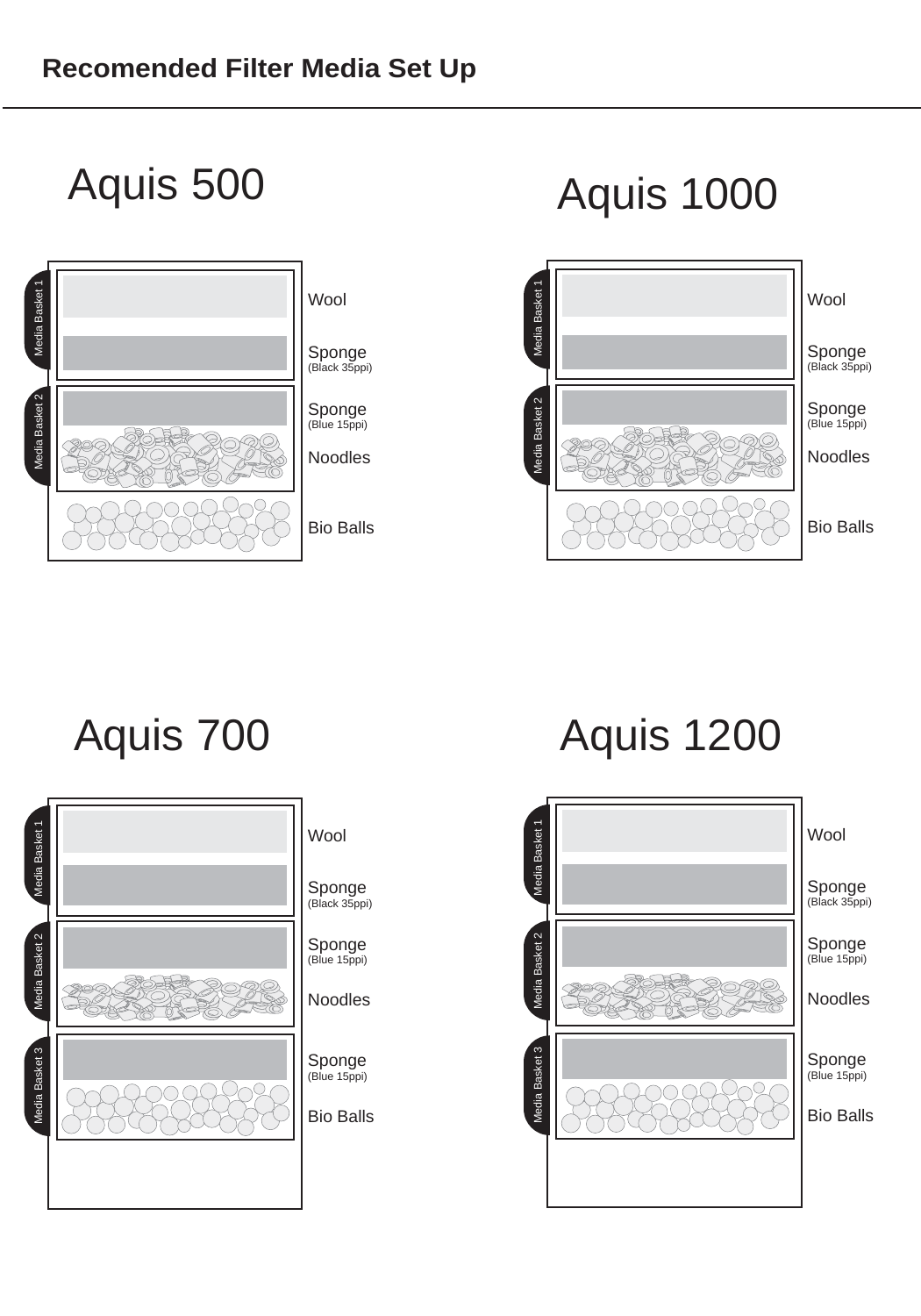

# Aquis 500 Aquis 1000





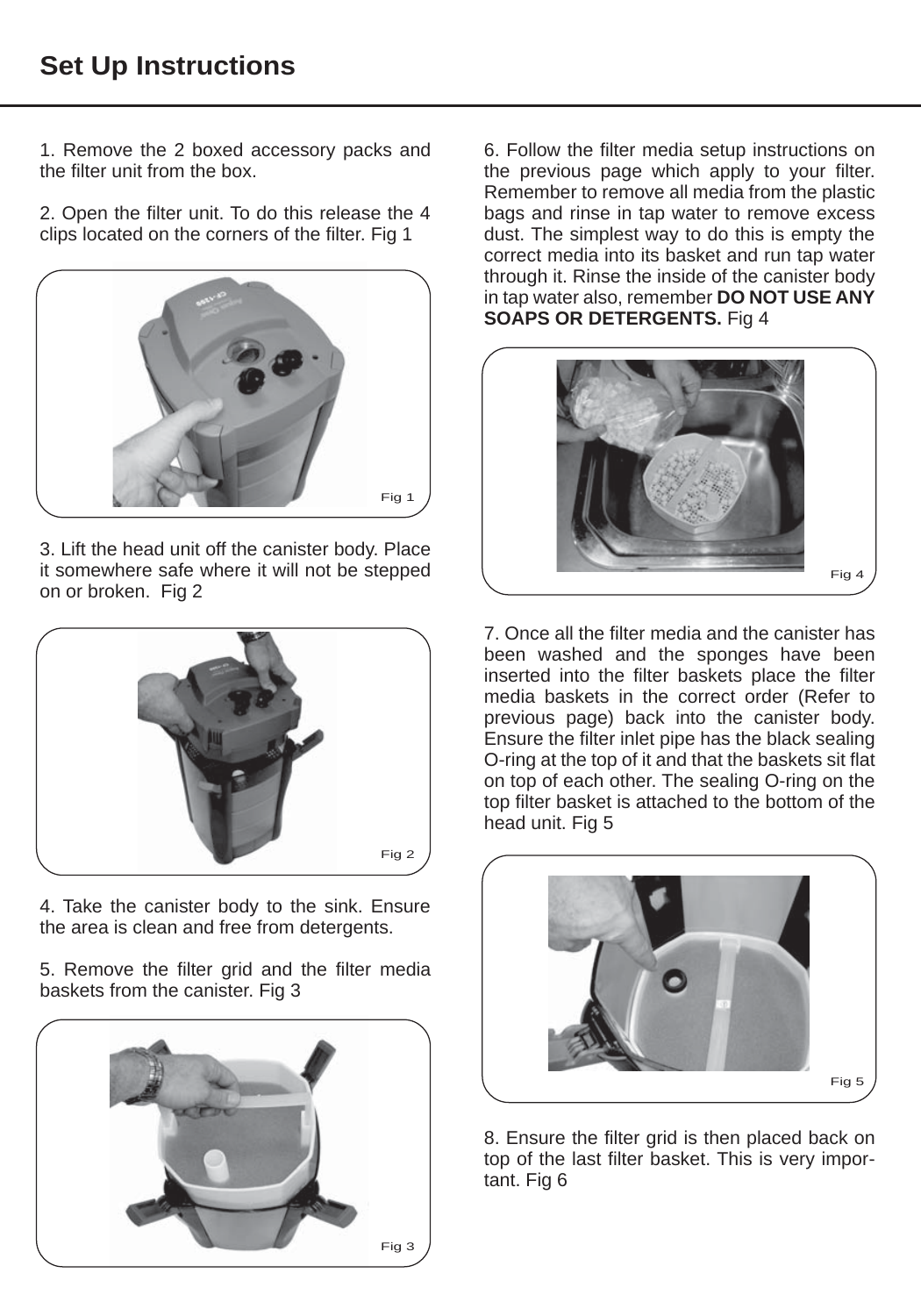1. Remove the 2 boxed accessory packs and the filter unit from the box.

2. Open the filter unit. To do this release the 4 clips located on the corners of the filter. Fig 1



3. Lift the head unit off the canister body. Place it somewhere safe where it will not be stepped on or broken. Fig 2



4. Take the canister body to the sink. Ensure the area is clean and free from detergents.

5. Remove the filter grid and the filter media baskets from the canister. Fig 3



6. Follow the filter media setup instructions on the previous page which apply to your filter. Remember to remove all media from the plastic bags and rinse in tap water to remove excess dust. The simplest way to do this is empty the correct media into its basket and run tap water through it. Rinse the inside of the canister body in tap water also, remember **DO NOT USE ANY SOAPS OR DETERGENTS.** Fig 4



7. Once all the filter media and the canister has been washed and the sponges have been inserted into the filter baskets place the filter media baskets in the correct order (Refer to previous page) back into the canister body. Ensure the filter inlet pipe has the black sealing O-ring at the top of it and that the baskets sit flat on top of each other. The sealing O-ring on the top filter basket is attached to the bottom of the head unit. Fig 5



8. Ensure the filter grid is then placed back on top of the last filter basket. This is very important. Fig 6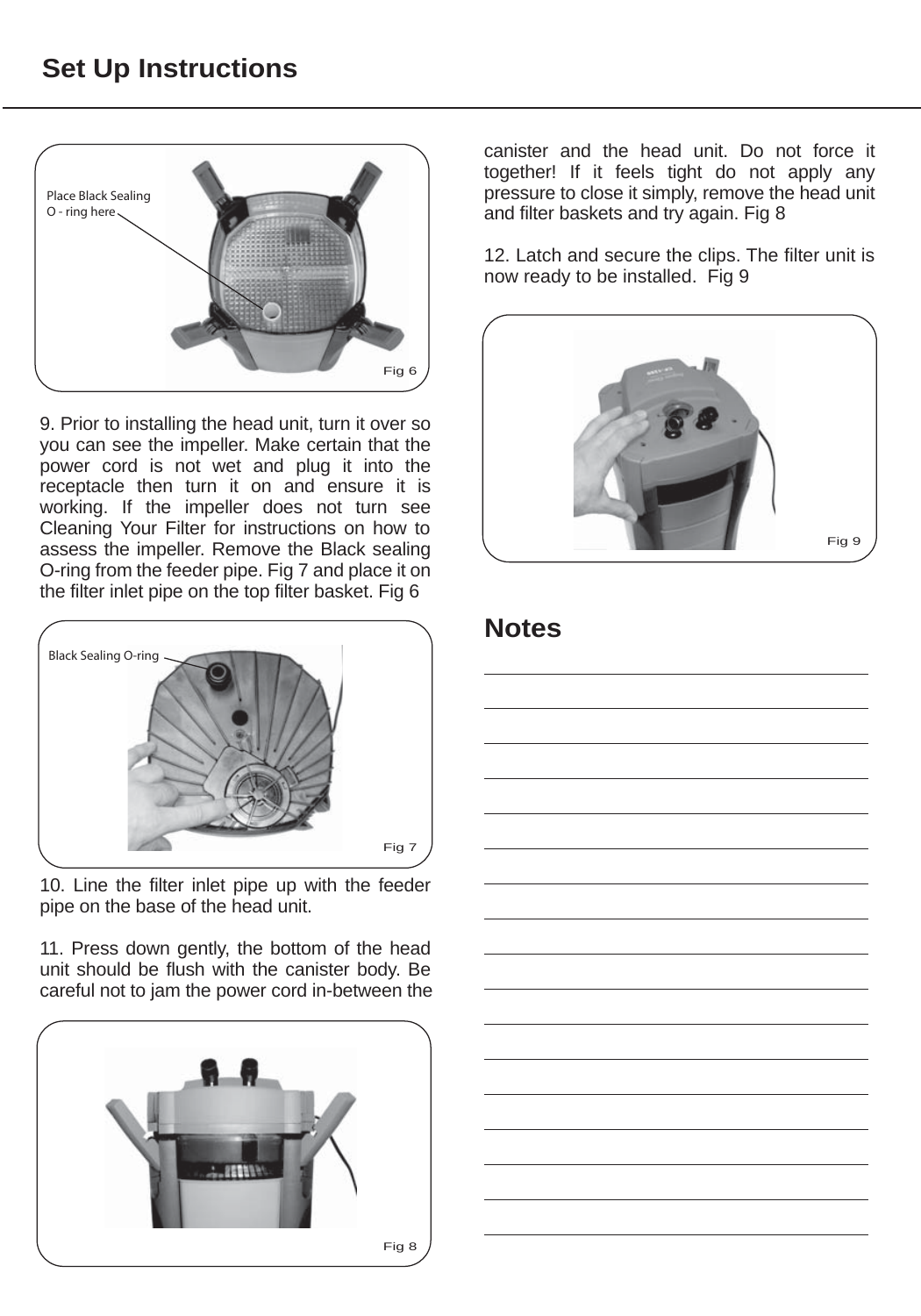# **Set Up Instructions**



9. Prior to installing the head unit, turn it over so you can see the impeller. Make certain that the power cord is not wet and plug it into the receptacle then turn it on and ensure it is working. If the impeller does not turn see Cleaning Your Filter for instructions on how to assess the impeller. Remove the Black sealing O-ring from the feeder pipe. Fig 7 and place it on the filter inlet pipe on the top filter basket. Fig 6



10. Line the filter inlet pipe up with the feeder pipe on the base of the head unit.

11. Press down gently, the bottom of the head unit should be flush with the canister body. Be careful not to jam the power cord in-between the



canister and the head unit. Do not force it together! If it feels tight do not apply any pressure to close it simply, remove the head unit and filter baskets and try again. Fig 8

12. Latch and secure the clips. The filter unit is now ready to be installed. Fig 9



# **Notes**

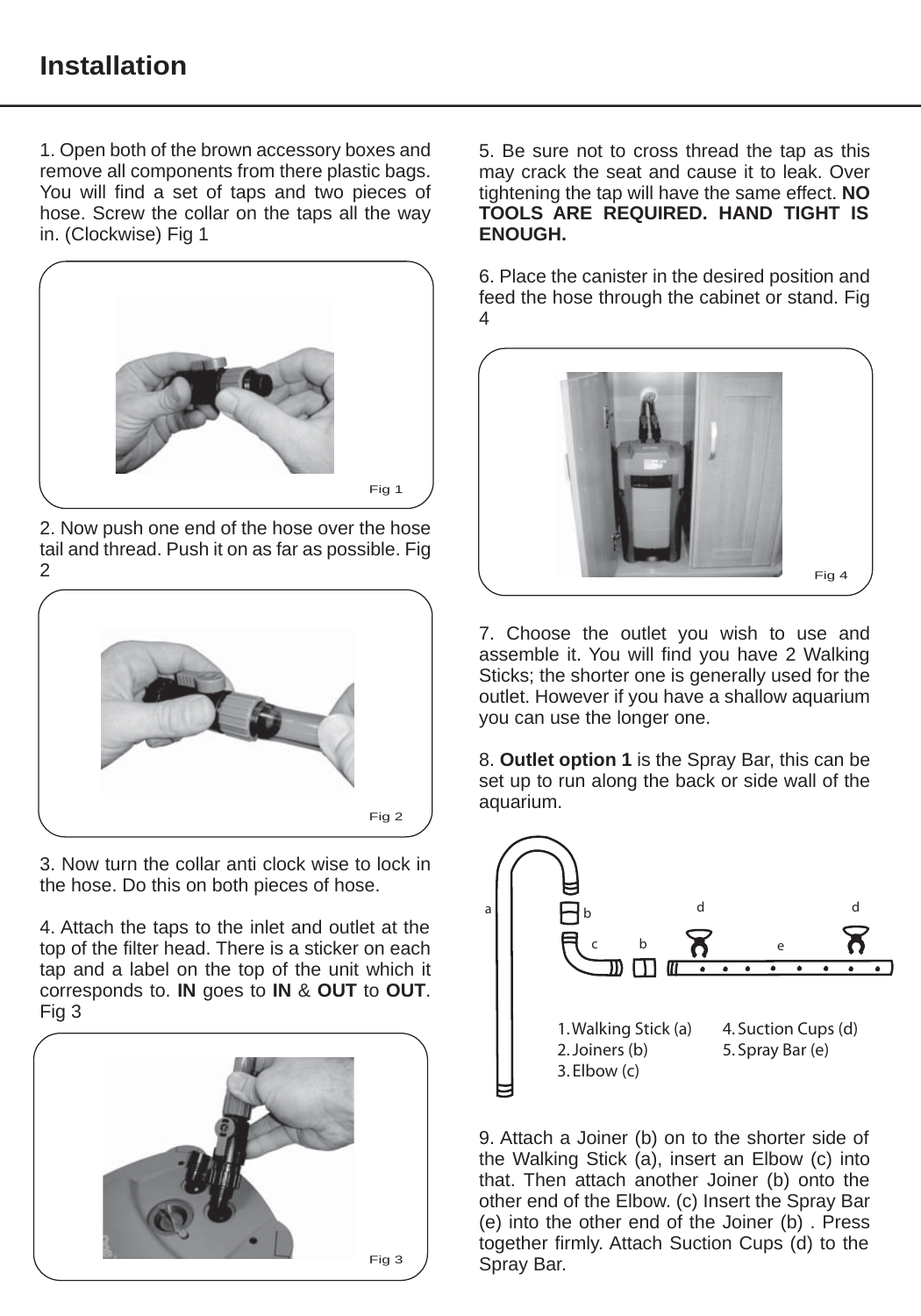# **Installation**

1. Open both of the brown accessory boxes and remove all components from there plastic bags. You will find a set of taps and two pieces of hose. Screw the collar on the taps all the way in. (Clockwise) Fig 1



2. Now push one end of the hose over the hose tail and thread. Push it on as far as possible. Fig 2



3. Now turn the collar anti clock wise to lock in the hose. Do this on both pieces of hose.

4. Attach the taps to the inlet and outlet at the top of the filter head. There is a sticker on each tap and a label on the top of the unit which it corresponds to. **IN** goes to **IN** & **OUT** to **OUT**. Fig 3



5. Be sure not to cross thread the tap as this may crack the seat and cause it to leak. Over tightening the tap will have the same effect. **NO TOOLS ARE REQUIRED. HAND TIGHT IS ENOUGH.**

6. Place the canister in the desired position and feed the hose through the cabinet or stand. Fig 4



7. Choose the outlet you wish to use and assemble it. You will find you have 2 Walking Sticks; the shorter one is generally used for the outlet. However if you have a shallow aquarium you can use the longer one.

8. **Outlet option 1** is the Spray Bar, this can be set up to run along the back or side wall of the aquarium.



9. Attach a Joiner (b) on to the shorter side of the Walking Stick (a), insert an Elbow (c) into that. Then attach another Joiner (b) onto the other end of the Elbow. (c) Insert the Spray Bar (e) into the other end of the Joiner (b) . Press together firmly. Attach Suction Cups (d) to the Spray Bar.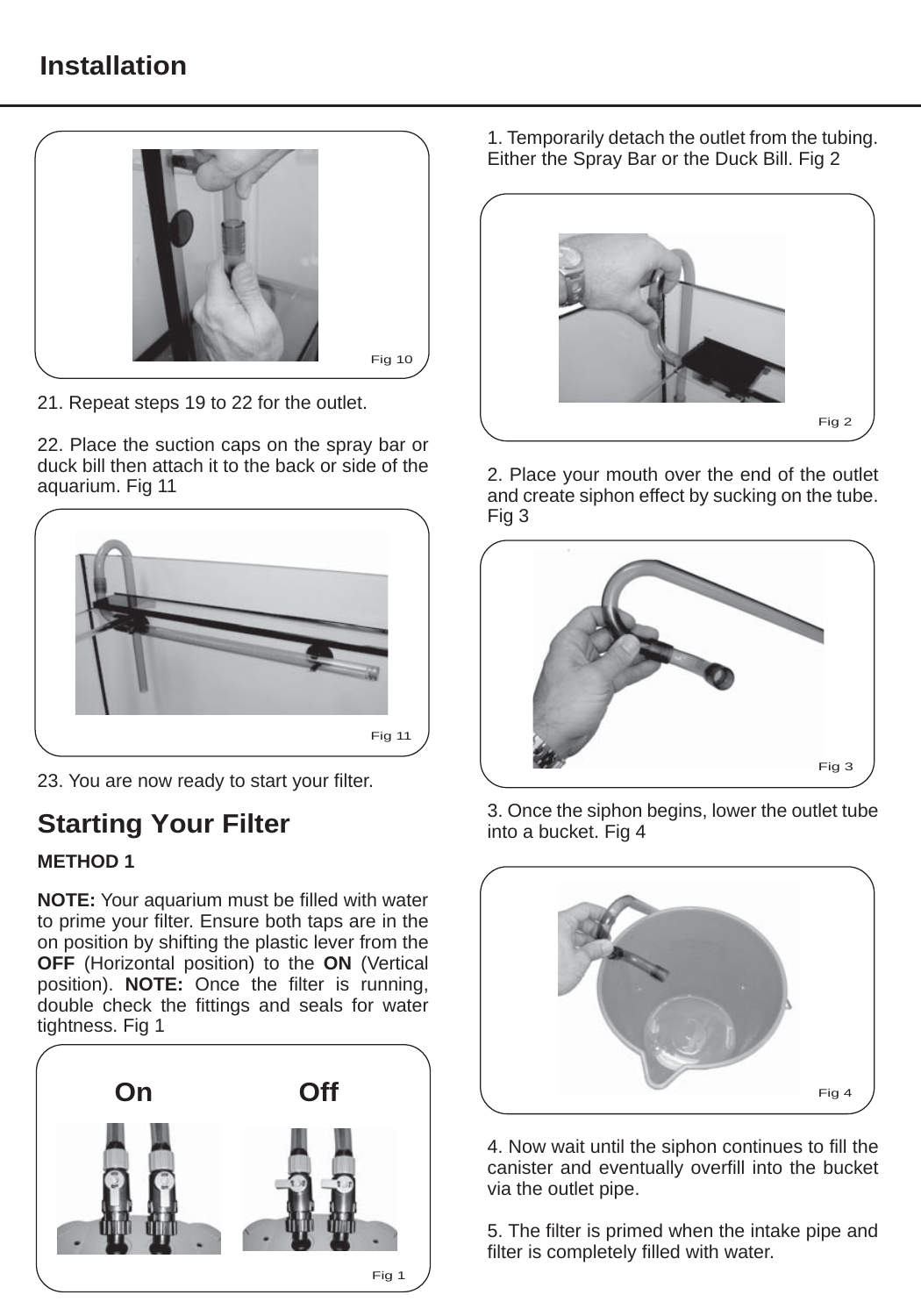# **Installation**



21. Repeat steps 19 to 22 for the outlet.

22. Place the suction caps on the spray bar or duck bill then attach it to the back or side of the aquarium. Fig 11



23. You are now ready to start your filter.

# **Starting Your Filter**

#### **METHOD 1**

**NOTE:** Your aquarium must be filled with water to prime your filter. Ensure both taps are in the on position by shifting the plastic lever from the **OFF** (Horizontal position) to the **ON** (Vertical position). **NOTE:** Once the filter is running, double check the fittings and seals for water tightness. Fig 1



1. Temporarily detach the outlet from the tubing. Either the Spray Bar or the Duck Bill. Fig 2



2. Place your mouth over the end of the outlet and create siphon effect by sucking on the tube. Fig 3



3. Once the siphon begins, lower the outlet tube into a bucket. Fig 4



4. Now wait until the siphon continues to fill the canister and eventually overfill into the bucket via the outlet pipe.

5. The filter is primed when the intake pipe and filter is completely filled with water.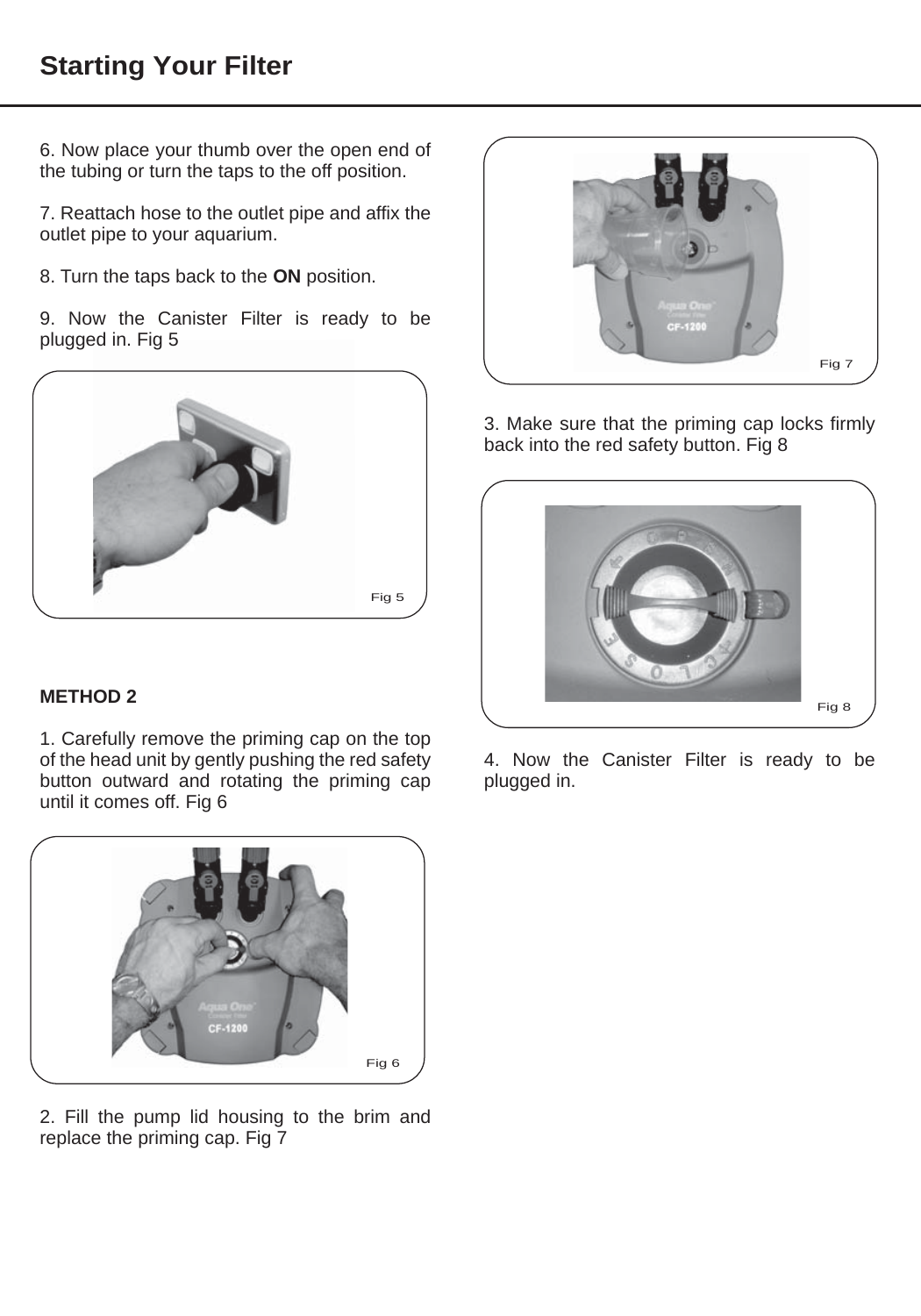# **Starting Your Filter**

6. Now place your thumb over the open end of the tubing or turn the taps to the off position.

7. Reattach hose to the outlet pipe and affix the outlet pipe to your aquarium.

- 8. Turn the taps back to the **ON** position.
- 9. Now the Canister Filter is ready to be plugged in. Fig 5



#### **METHOD 2**

1. Carefully remove the priming cap on the top of the head unit by gently pushing the red safety button outward and rotating the priming cap until it comes off. Fig 6



2. Fill the pump lid housing to the brim and replace the priming cap. Fig 7



3. Make sure that the priming cap locks firmly back into the red safety button. Fig 8



4. Now the Canister Filter is ready to be plugged in.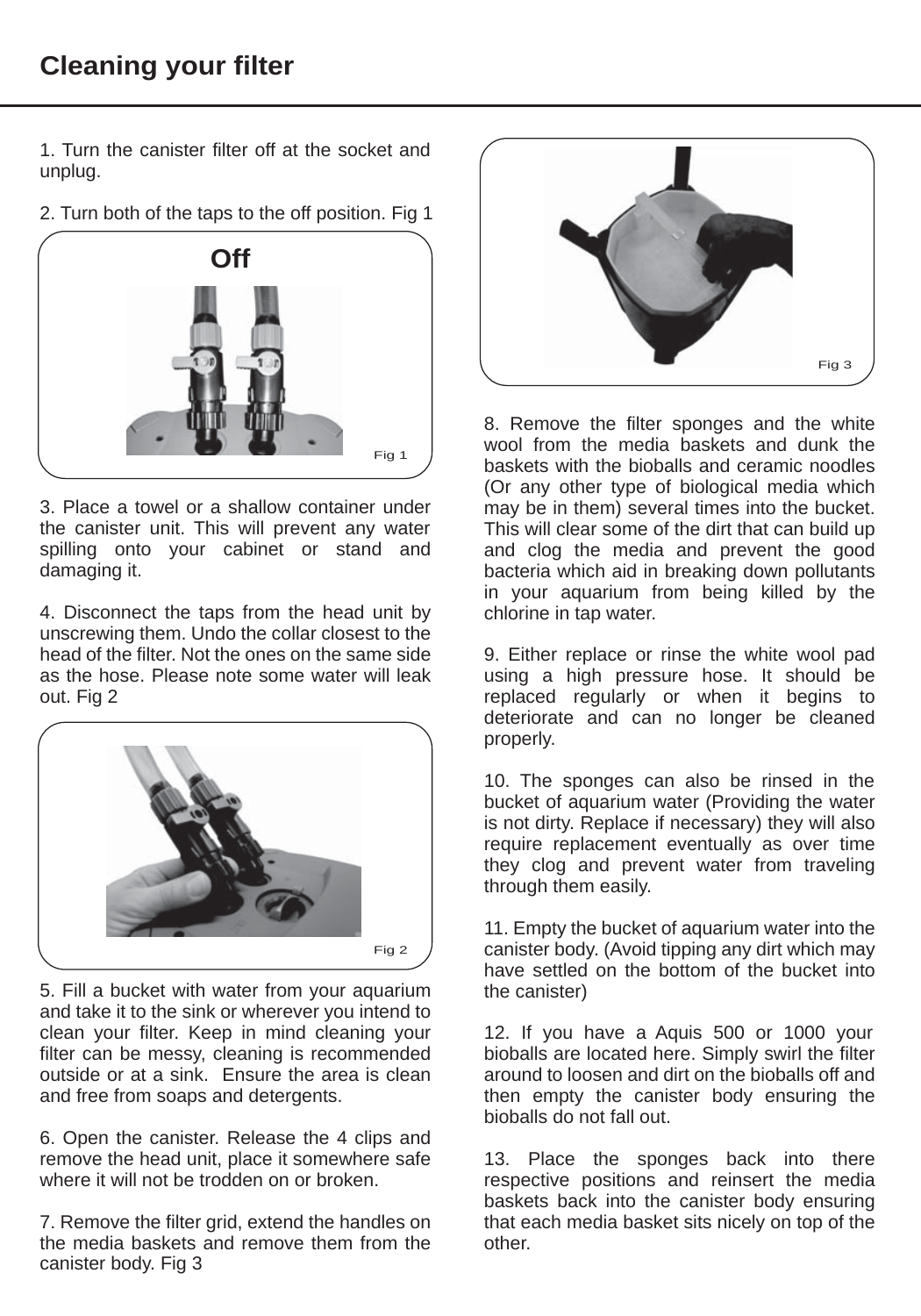1. Turn the canister filter off at the socket and unplug.

2. Turn both of the taps to the off position. Fig 1



3. Place a towel or a shallow container under the canister unit. This will prevent any water spilling onto your cabinet or stand and damaging it.

4. Disconnect the taps from the head unit by unscrewing them. Undo the collar closest to the head of the filter. Not the ones on the same side as the hose. Please note some water will leak out. Fig 2



5. Fill a bucket with water from your aquarium and take it to the sink or wherever you intend to clean your filter. Keep in mind cleaning your filter can be messy, cleaning is recommended outside or at a sink. Ensure the area is clean and free from soaps and detergents.

6. Open the canister. Release the 4 clips and remove the head unit, place it somewhere safe where it will not be trodden on or broken.

7. Remove the filter grid, extend the handles on the media baskets and remove them from the canister body. Fig 3



8. Remove the filter sponges and the white wool from the media baskets and dunk the baskets with the bioballs and ceramic noodles (Or any other type of biological media which may be in them) several times into the bucket. This will clear some of the dirt that can build up and clog the media and prevent the good bacteria which aid in breaking down pollutants in your aquarium from being killed by the chlorine in tap water.

9. Either replace or rinse the white wool pad using a high pressure hose. It should be replaced regularly or when it begins to deteriorate and can no longer be cleaned properly.

10. The sponges can also be rinsed in the bucket of aquarium water (Providing the water is not dirty. Replace if necessary) they will also require replacement eventually as over time they clog and prevent water from traveling through them easily.

11. Empty the bucket of aquarium water into the canister body. (Avoid tipping any dirt which may have settled on the bottom of the bucket into the canister)

12. If you have a Aquis 500 or 1000 your bioballs are located here. Simply swirl the filter around to loosen and dirt on the bioballs off and then empty the canister body ensuring the bioballs do not fall out.

13. Place the sponges back into there respective positions and reinsert the media baskets back into the canister body ensuring that each media basket sits nicely on top of the other.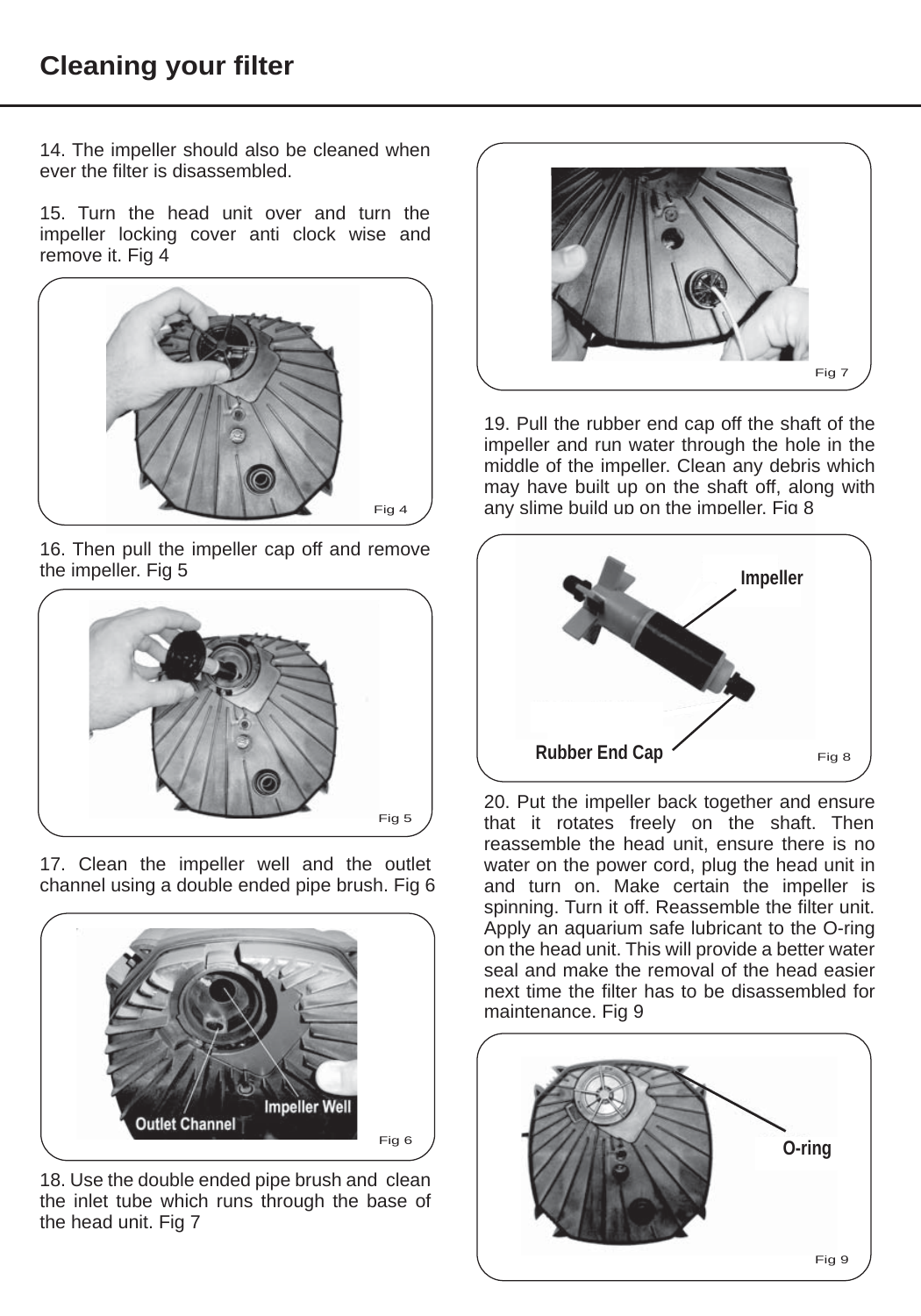# **Cleaning your filter**

14. The impeller should also be cleaned when ever the filter is disassembled.

15. Turn the head unit over and turn the impeller locking cover anti clock wise and remove it. Fig 4



16. Then pull the impeller cap off and remove the impeller. Fig 5



17. Clean the impeller well and the outlet channel using a double ended pipe brush. Fig 6



18. Use the double ended pipe brush and clean the inlet tube which runs through the base of the head unit. Fig 7



19. Pull the rubber end cap off the shaft of the impeller and run water through the hole in the middle of the impeller. Clean any debris which may have built up on the shaft off, along with any slime build up on the impeller. Fig 8



20. Put the impeller back together and ensure that it rotates freely on the shaft. Then reassemble the head unit, ensure there is no water on the power cord, plug the head unit in and turn on. Make certain the impeller is spinning. Turn it off. Reassemble the filter unit. Apply an aquarium safe lubricant to the O-ring on the head unit. This will provide a better water seal and make the removal of the head easier next time the filter has to be disassembled for maintenance. Fig 9

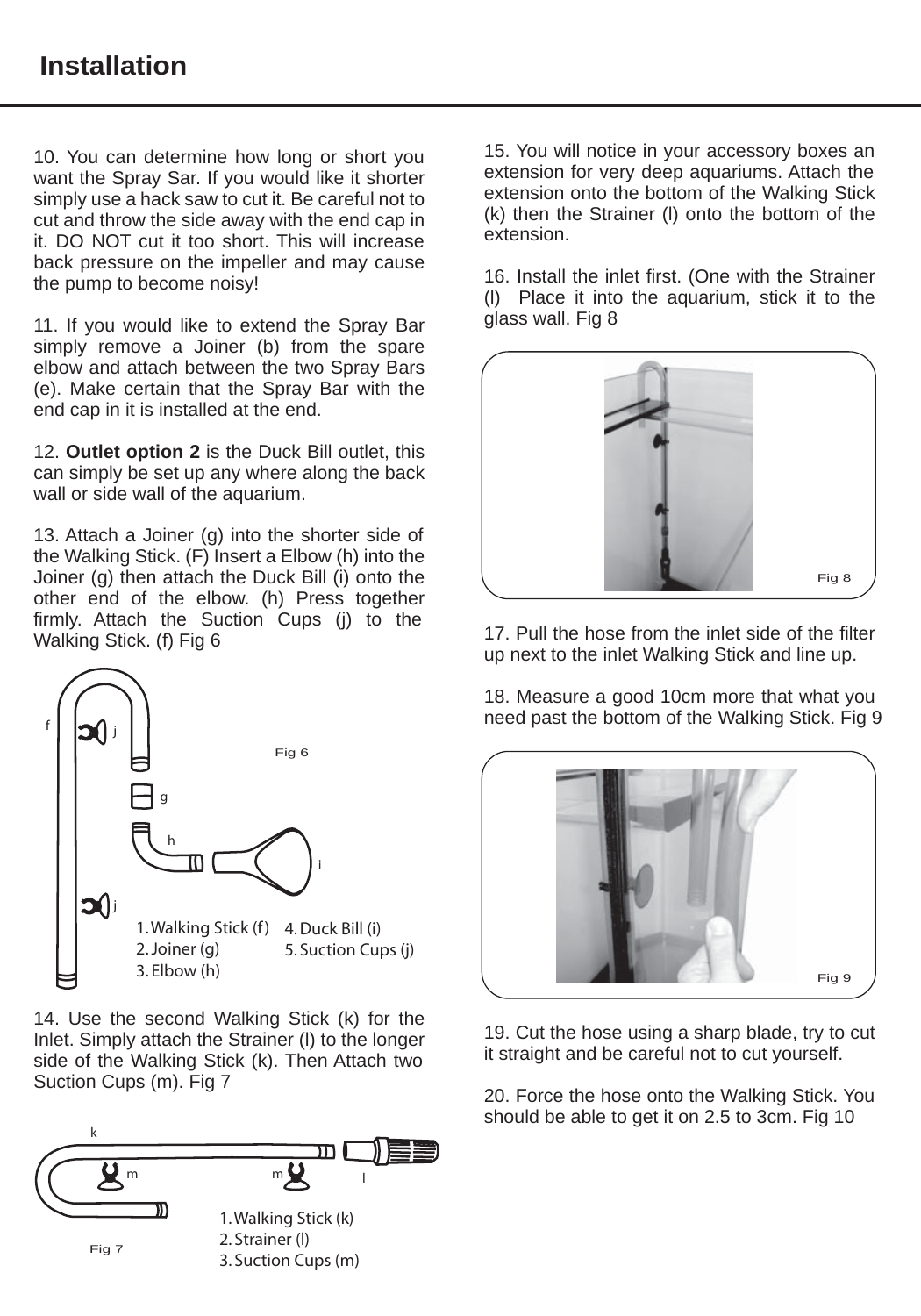10. You can determine how long or short you want the Spray Sar. If you would like it shorter simply use a hack saw to cut it. Be careful not to cut and throw the side away with the end cap in it. DO NOT cut it too short. This will increase back pressure on the impeller and may cause the pump to become noisy!

11. If you would like to extend the Spray Bar simply remove a Joiner (b) from the spare elbow and attach between the two Spray Bars (e). Make certain that the Spray Bar with the end cap in it is installed at the end.

12. **Outlet option 2** is the Duck Bill outlet, this can simply be set up any where along the back wall or side wall of the aquarium.

13. Attach a Joiner (g) into the shorter side of the Walking Stick. (F) Insert a Elbow (h) into the Joiner (g) then attach the Duck Bill (i) onto the other end of the elbow. (h) Press together firmly. Attach the Suction Cups (j) to the Walking Stick. (f) Fig 6



14. Use the second Walking Stick (k) for the Inlet. Simply attach the Strainer (l) to the longer side of the Walking Stick (k). Then Attach two Suction Cups (m). Fig 7



15. You will notice in your accessory boxes an extension for very deep aquariums. Attach the extension onto the bottom of the Walking Stick (k) then the Strainer (l) onto the bottom of the extension.

16. Install the inlet first. (One with the Strainer (l) Place it into the aquarium, stick it to the glass wall. Fig 8



17. Pull the hose from the inlet side of the filter up next to the inlet Walking Stick and line up.

18. Measure a good 10cm more that what you need past the bottom of the Walking Stick. Fig 9



19. Cut the hose using a sharp blade, try to cut it straight and be careful not to cut yourself.

20. Force the hose onto the Walking Stick. You should be able to get it on 2.5 to 3cm. Fig 10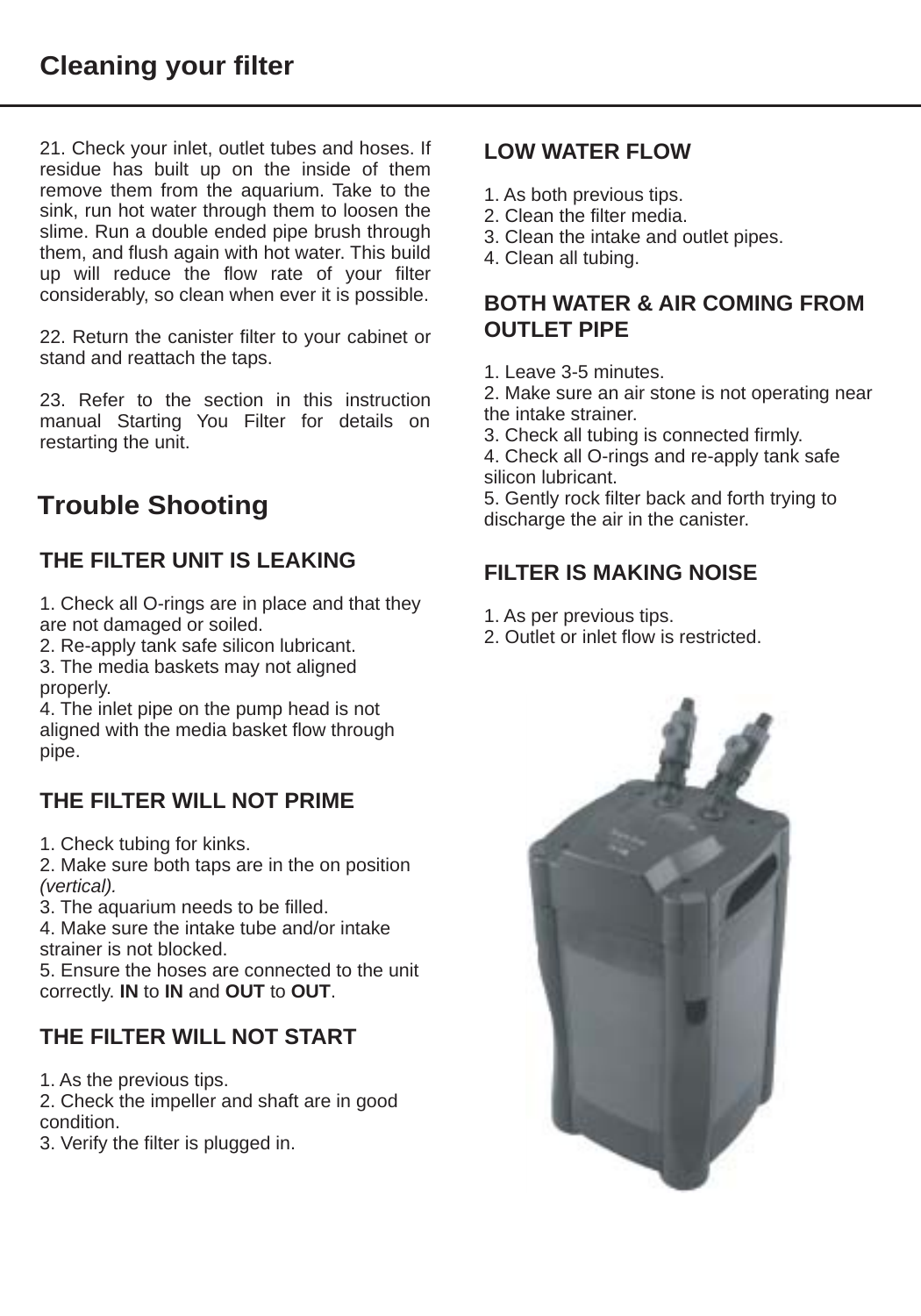21. Check your inlet, outlet tubes and hoses. If residue has built up on the inside of them remove them from the aquarium. Take to the sink, run hot water through them to loosen the slime. Run a double ended pipe brush through them, and flush again with hot water. This build up will reduce the flow rate of your filter considerably, so clean when ever it is possible.

22. Return the canister filter to your cabinet or stand and reattach the taps.

23. Refer to the section in this instruction manual Starting You Filter for details on restarting the unit.

# **Trouble Shooting**

## **THE FILTER UNIT IS LEAKING**

1. Check all O-rings are in place and that they are not damaged or soiled.

2. Re-apply tank safe silicon lubricant.

3. The media baskets may not aligned properly.

4. The inlet pipe on the pump head is not aligned with the media basket flow through pipe.

## **THE FILTER WILL NOT PRIME**

1. Check tubing for kinks.

2. Make sure both taps are in the on position *(vertical).*

3. The aquarium needs to be filled.

4. Make sure the intake tube and/or intake strainer is not blocked.

5. Ensure the hoses are connected to the unit correctly. **IN** to **IN** and **OUT** to **OUT**.

## **THE FILTER WILL NOT START**

1. As the previous tips.

2. Check the impeller and shaft are in good condition.

3. Verify the filter is plugged in.

#### **LOW WATER FLOW**

- 1. As both previous tips.
- 2. Clean the filter media.
- 3. Clean the intake and outlet pipes.
- 4. Clean all tubing.

#### **BOTH WATER & AIR COMING FROM OUTLET PIPE**

- 1. Leave 3-5 minutes.
- 2. Make sure an air stone is not operating near the intake strainer.
- 3. Check all tubing is connected firmly.

4. Check all O-rings and re-apply tank safe silicon lubricant.

5. Gently rock filter back and forth trying to discharge the air in the canister.

#### **FILTER IS MAKING NOISE**

- 1. As per previous tips.
- 2. Outlet or inlet flow is restricted.

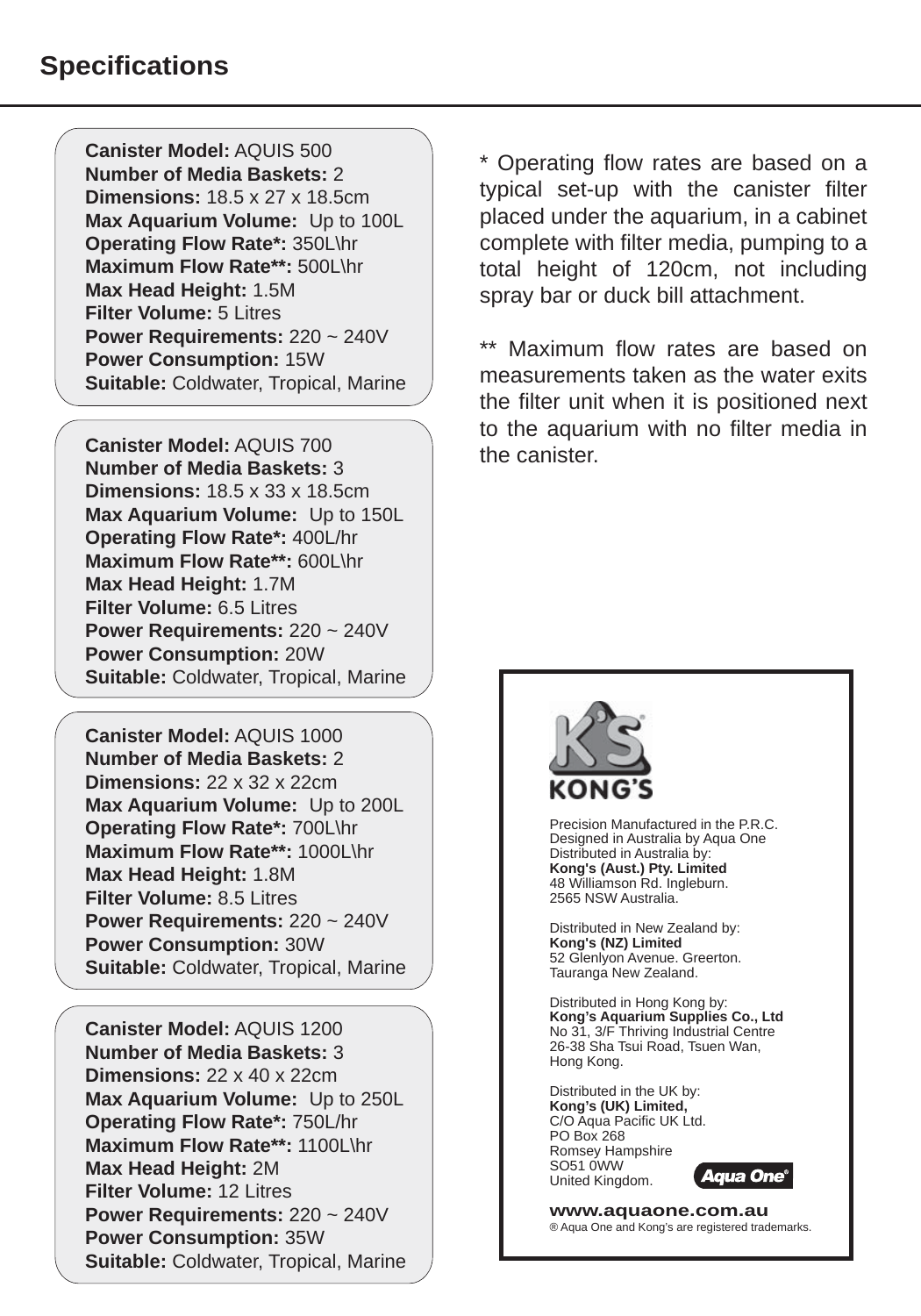**Canister Model:** AQUIS 500 **Number of Media Baskets:** 2 **Dimensions:** 18.5 x 27 x 18.5cm **Max Aquarium Volume:** Up to 100L **Operating Flow Rate\*:** 350L\hr **Maximum Flow Rate\*\*:** 500L\hr **Max Head Height:** 1.5M **Filter Volume:** 5 Litres **Power Requirements:** 220 ~ 240V **Power Consumption:** 15W **Suitable:** Coldwater, Tropical, Marine

**Canister Model:** AQUIS 700 **Number of Media Baskets:** 3 **Dimensions:** 18.5 x 33 x 18.5cm **Max Aquarium Volume:** Up to 150L **Operating Flow Rate\*:** 400L/hr **Maximum Flow Rate\*\*:** 600L\hr **Max Head Height:** 1.7M **Filter Volume:** 6.5 Litres **Power Requirements:** 220 ~ 240V **Power Consumption:** 20W **Suitable:** Coldwater, Tropical, Marine

**Canister Model:** AQUIS 1000 **Number of Media Baskets:** 2 **Dimensions:** 22 x 32 x 22cm **Max Aquarium Volume:** Up to 200L **Operating Flow Rate\*:** 700L\hr **Maximum Flow Rate\*\*:** 1000L\hr **Max Head Height:** 1.8M **Filter Volume:** 8.5 Litres **Power Requirements:** 220 ~ 240V **Power Consumption:** 30W **Suitable:** Coldwater, Tropical, Marine

**Canister Model:** AQUIS 1200 **Number of Media Baskets:** 3 **Dimensions:** 22 x 40 x 22cm **Max Aquarium Volume:** Up to 250L **Operating Flow Rate\*:** 750L/hr **Maximum Flow Rate\*\*:** 1100L\hr **Max Head Height:** 2M **Filter Volume:** 12 Litres **Power Requirements:** 220 ~ 240V **Power Consumption:** 35W **Suitable:** Coldwater, Tropical, Marine

\* Operating flow rates are based on a typical set-up with the canister filter placed under the aquarium, in a cabinet complete with filter media, pumping to a total height of 120cm, not including spray bar or duck bill attachment.

Maximum flow rates are based on measurements taken as the water exits the filter unit when it is positioned next to the aquarium with no filter media in the canister.